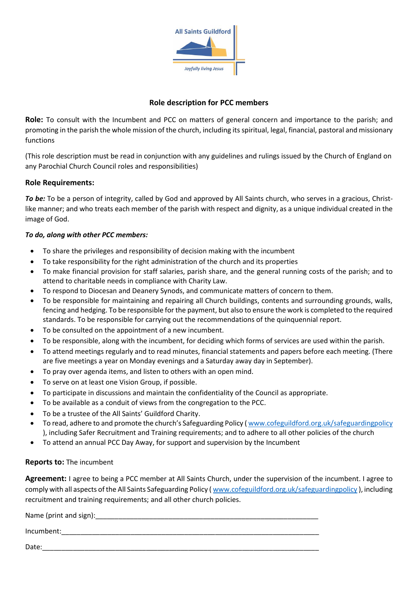

# **Role description for PCC members**

**Role:** To consult with the Incumbent and PCC on matters of general concern and importance to the parish; and promoting in the parish the whole mission of the church, including its spiritual, legal, financial, pastoral and missionary functions

(This role description must be read in conjunction with any guidelines and rulings issued by the Church of England on any Parochial Church Council roles and responsibilities)

### **Role Requirements:**

*To be:* To be a person of integrity, called by God and approved by All Saints church, who serves in a gracious, Christlike manner; and who treats each member of the parish with respect and dignity, as a unique individual created in the image of God.

### *To do, along with other PCC members:*

- To share the privileges and responsibility of decision making with the incumbent
- To take responsibility for the right administration of the church and its properties
- To make financial provision for staff salaries, parish share, and the general running costs of the parish; and to attend to charitable needs in compliance with Charity Law.
- To respond to Diocesan and Deanery Synods, and communicate matters of concern to them.
- To be responsible for maintaining and repairing all Church buildings, contents and surrounding grounds, walls, fencing and hedging. To be responsible for the payment, but also to ensure the work is completed to the required standards. To be responsible for carrying out the recommendations of the quinquennial report.
- To be consulted on the appointment of a new incumbent.
- To be responsible, along with the incumbent, for deciding which forms of services are used within the parish.
- To attend meetings regularly and to read minutes, financial statements and papers before each meeting. (There are five meetings a year on Monday evenings and a Saturday away day in September).
- To pray over agenda items, and listen to others with an open mind.
- To serve on at least one Vision Group, if possible.
- To participate in discussions and maintain the confidentiality of the Council as appropriate.
- To be available as a conduit of views from the congregation to the PCC.
- To be a trustee of the All Saints' Guildford Charity.
- To read, adhere to and promote the church's Safeguarding Policy ( [www.cofeguildford.org.uk/safeguardingpolicy](http://www.cofeguildford.org.uk/safeguardingpolicy) ), including Safer Recruitment and Training requirements; and to adhere to all other policies of the church
- To attend an annual PCC Day Away, for support and supervision by the Incumbent

#### **Reports to:** The incumbent

**Agreement:** I agree to being a PCC member at All Saints Church, under the supervision of the incumbent. I agree to comply with all aspects of the All Saints Safeguarding Policy (www.cofeguildford.org.uk/safeguardingpolicy), including recruitment and training requirements; and all other church policies.

Name (print and sign):

Incumbent:

Date:\_\_\_\_\_\_\_\_\_\_\_\_\_\_\_\_\_\_\_\_\_\_\_\_\_\_\_\_\_\_\_\_\_\_\_\_\_\_\_\_\_\_\_\_\_\_\_\_\_\_\_\_\_\_\_\_\_\_\_\_\_\_\_\_\_\_\_\_\_\_\_\_